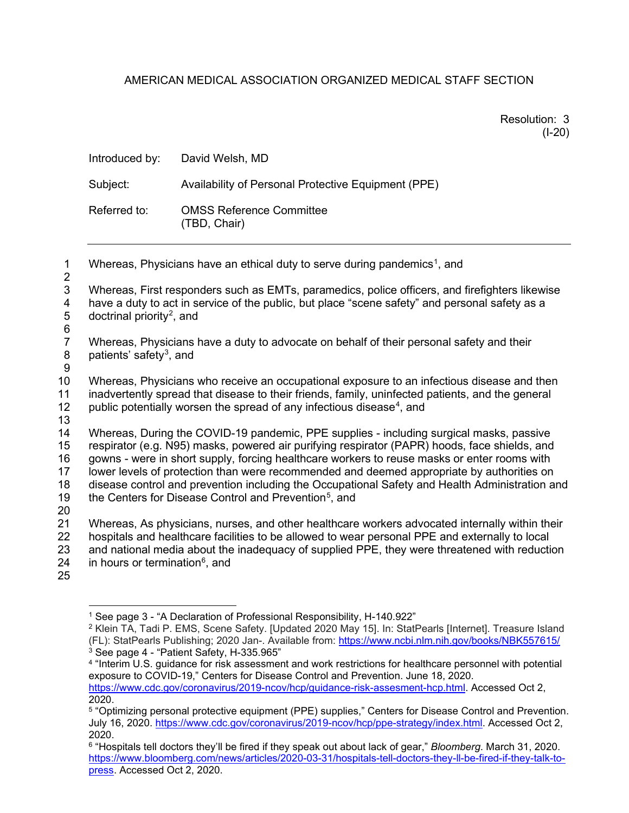## AMERICAN MEDICAL ASSOCIATION ORGANIZED MEDICAL STAFF SECTION

Resolution: 3 (I-20)

|                                         | Introduced by:                                                                                                                                                                                                                                                                                                                                                                                                                                                                                                                                              | David Welsh, MD                                     |
|-----------------------------------------|-------------------------------------------------------------------------------------------------------------------------------------------------------------------------------------------------------------------------------------------------------------------------------------------------------------------------------------------------------------------------------------------------------------------------------------------------------------------------------------------------------------------------------------------------------------|-----------------------------------------------------|
|                                         | Subject:                                                                                                                                                                                                                                                                                                                                                                                                                                                                                                                                                    | Availability of Personal Protective Equipment (PPE) |
|                                         | Referred to:                                                                                                                                                                                                                                                                                                                                                                                                                                                                                                                                                | <b>OMSS Reference Committee</b><br>(TBD, Chair)     |
| $\mathbf{1}$<br>$\overline{c}$          | Whereas, Physicians have an ethical duty to serve during pandemics <sup>1</sup> , and                                                                                                                                                                                                                                                                                                                                                                                                                                                                       |                                                     |
| 3<br>4<br>$\mathbf 5$<br>$\,6$          | Whereas, First responders such as EMTs, paramedics, police officers, and firefighters likewise<br>have a duty to act in service of the public, but place "scene safety" and personal safety as a<br>doctrinal priority <sup>2</sup> , and                                                                                                                                                                                                                                                                                                                   |                                                     |
| $\overline{7}$<br>8<br>$\boldsymbol{9}$ | Whereas, Physicians have a duty to advocate on behalf of their personal safety and their<br>patients' safety <sup>3</sup> , and                                                                                                                                                                                                                                                                                                                                                                                                                             |                                                     |
| 10<br>11<br>12<br>13                    | Whereas, Physicians who receive an occupational exposure to an infectious disease and then<br>inadvertently spread that disease to their friends, family, uninfected patients, and the general<br>public potentially worsen the spread of any infectious disease <sup>4</sup> , and                                                                                                                                                                                                                                                                         |                                                     |
| 14<br>15<br>16<br>17<br>18<br>19<br>20  | Whereas, During the COVID-19 pandemic, PPE supplies - including surgical masks, passive<br>respirator (e.g. N95) masks, powered air purifying respirator (PAPR) hoods, face shields, and<br>gowns - were in short supply, forcing healthcare workers to reuse masks or enter rooms with<br>lower levels of protection than were recommended and deemed appropriate by authorities on<br>disease control and prevention including the Occupational Safety and Health Administration and<br>the Centers for Disease Control and Prevention <sup>5</sup> , and |                                                     |
| 21<br>22<br>23<br>24<br>25              | Whereas, As physicians, nurses, and other healthcare workers advocated internally within their<br>hospitals and healthcare facilities to be allowed to wear personal PPE and externally to local<br>and national media about the inadequacy of supplied PPE, they were threatened with reduction<br>in hours or termination <sup>6</sup> , and                                                                                                                                                                                                              |                                                     |

<span id="page-0-1"></span><span id="page-0-0"></span><sup>2</sup> Klein TA, Tadi P. EMS, Scene Safety. [Updated 2020 May 15]. In: StatPearls [Internet]. Treasure Island (FL): StatPearls Publishing; 2020 Jan-. Available from:<https://www.ncbi.nlm.nih.gov/books/NBK557615/>  $3$  See page 4 - "Patient Safety, H-335.965"

<sup>1</sup> See page 3 - "A Declaration of Professional Responsibility, H-140.922"

<span id="page-0-3"></span><span id="page-0-2"></span><sup>4</sup> "Interim U.S. guidance for risk assessment and work restrictions for healthcare personnel with potential exposure to COVID-19," Centers for Disease Control and Prevention. June 18, 2020. [https://www.cdc.gov/coronavirus/2019-ncov/hcp/guidance-risk-assesment-hcp.html.](https://www.cdc.gov/coronavirus/2019-ncov/hcp/guidance-risk-assesment-hcp.html) Accessed Oct 2, 2020.

<span id="page-0-4"></span><sup>5</sup> "Optimizing personal protective equipment (PPE) supplies," Centers for Disease Control and Prevention. July 16, 2020. [https://www.cdc.gov/coronavirus/2019-ncov/hcp/ppe-strategy/index.html.](https://www.cdc.gov/coronavirus/2019-ncov/hcp/ppe-strategy/index.html) Accessed Oct 2, 2020.

<span id="page-0-5"></span><sup>6</sup> "Hospitals tell doctors they'll be fired if they speak out about lack of gear," *Bloomberg*. March 31, 2020. [https://www.bloomberg.com/news/articles/2020-03-31/hospitals-tell-doctors-they-ll-be-fired-if-they-talk-to](https://www.bloomberg.com/news/articles/2020-03-31/hospitals-tell-doctors-they-ll-be-fired-if-they-talk-to-press)[press.](https://www.bloomberg.com/news/articles/2020-03-31/hospitals-tell-doctors-they-ll-be-fired-if-they-talk-to-press) Accessed Oct 2, 2020.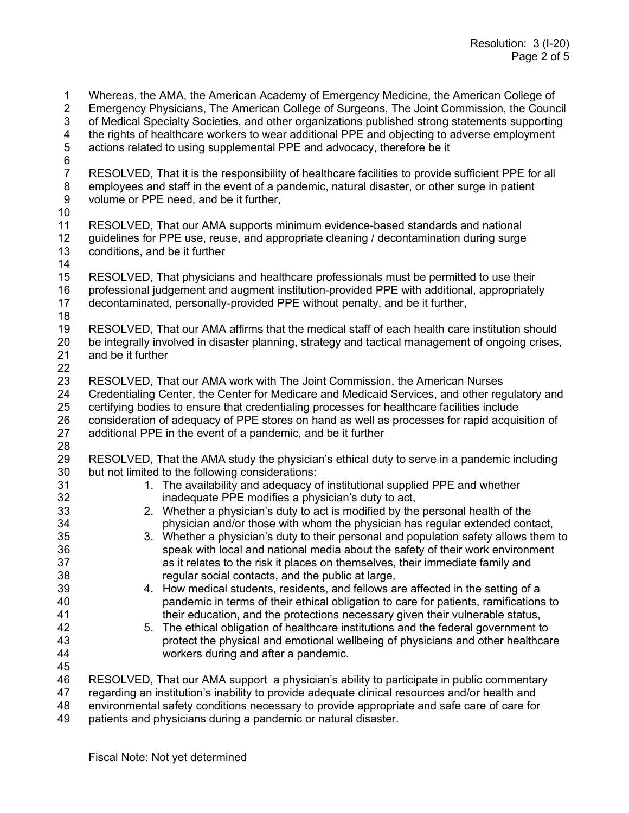1 Whereas, the AMA, the American Academy of Emergency Medicine, the American College of 2 Emergency Physicians, The American College of Surgenons, The Joint Commission, the Cound 2 Emergency Physicians, The American College of Surgeons, The Joint Commission, the Council 3 of Medical Specialty Societies, and other organizations published strong statements supporting 4 the rights of healthcare workers to wear additional PPE and objecting to adverse employment<br>5 actions related to using supplemental PPE and advocacy, therefore be it actions related to using supplemental PPE and advocacy, therefore be it 6<br>7 7 RESOLVED, That it is the responsibility of healthcare facilities to provide sufficient PPE for all<br>8 employees and staff in the event of a pandemic, natural disaster, or other surge in patient employees and staff in the event of a pandemic, natural disaster, or other surge in patient 9 volume or PPE need, and be it further, 10 11 RESOLVED, That our AMA supports minimum evidence-based standards and national<br>12 guidelines for PPE use, reuse, and appropriate cleaning / decontamination during surge 12 guidelines for PPE use, reuse, and appropriate cleaning / decontamination during surge 13 conditions, and be it further 14 RESOLVED, That physicians and healthcare professionals must be permitted to use their 16 professional judgement and augment institution-provided PPE with additional, appropriately 17 decontaminated, personally-provided PPE without penalty, and be it further, 18 RESOLVED, That our AMA affirms that the medical staff of each health care institution should 20 be integrally involved in disaster planning, strategy and tactical management of ongoing crises,<br>21 and be it further and be it further 22 23 RESOLVED, That our AMA work with The Joint Commission, the American Nurses 24 Credentialing Center, the Center for Medicare and Medicaid Services, and other regulatory and<br>25 certifying bodies to ensure that credentialing processes for healthcare facilities include 25 certifying bodies to ensure that credentialing processes for healthcare facilities include 26 consideration of adequacy of PPE stores on hand as well as processes for rapid acquisition of 27 additional PPE in the event of a pandemic, and be it further additional PPE in the event of a pandemic, and be it further 28 RESOLVED, That the AMA study the physician's ethical duty to serve in a pandemic including 30 but not limited to the following considerations: 31 1. The availability and adequacy of institutional supplied PPE and whether<br>32 1. The availability and adequacy of institutional supplied PPE and whether inadequate PPE modifies a physician's duty to act. 33 2. Whether a physician's duty to act is modified by the personal health of the 34 physician and/or those with whom the physician has regular extended contact,<br>35 3. Whether a physician's duty to their personal and population safety allows them 3. Whether a physician's duty to their personal and population safety allows them to 36 speak with local and national media about the safety of their work environment 37 as it relates to the risk it places on themselves, their immediate family and 38 regular social contacts, and the public at large, 39 4. How medical students, residents, and fellows are affected in the setting of a 40 pandemic in terms of their ethical obligation to care for patients, ramifications to 41 their education, and the protections necessary given their vulnerable status,<br>42 5. The ethical obligation of healthcare institutions and the federal government to 42 5. The ethical obligation of healthcare institutions and the federal government to 43 protect the physical and emotional wellbeing of physicians and other healthcare 44 workers during and after a pandemic. 45 46 RESOLVED, That our AMA support a physician's ability to participate in public commentary 47 regarding an institution's inability to provide adequate clinical resources and/or health and 48 environmental safety conditions necessary to provide appropriate and safe care of care for

49 patients and physicians during a pandemic or natural disaster.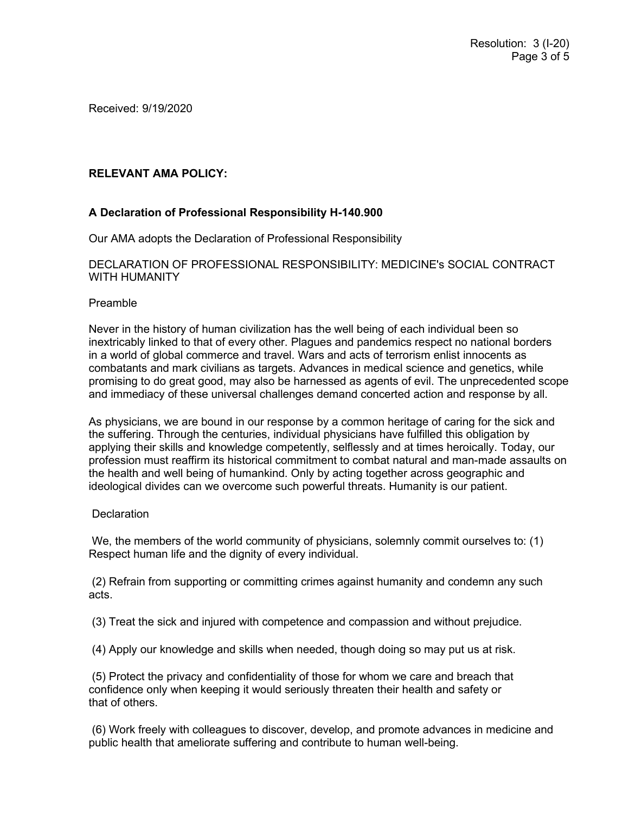Received: 9/19/2020

## **RELEVANT AMA POLICY:**

## **A Declaration of Professional Responsibility H-140.900**

Our AMA adopts the Declaration of Professional Responsibility

DECLARATION OF PROFESSIONAL RESPONSIBILITY: MEDICINE's SOCIAL CONTRACT WITH HUMANITY

#### Preamble

Never in the history of human civilization has the well being of each individual been so inextricably linked to that of every other. Plagues and pandemics respect no national borders in a world of global commerce and travel. Wars and acts of terrorism enlist innocents as combatants and mark civilians as targets. Advances in medical science and genetics, while promising to do great good, may also be harnessed as agents of evil. The unprecedented scope and immediacy of these universal challenges demand concerted action and response by all.

As physicians, we are bound in our response by a common heritage of caring for the sick and the suffering. Through the centuries, individual physicians have fulfilled this obligation by applying their skills and knowledge competently, selflessly and at times heroically. Today, our profession must reaffirm its historical commitment to combat natural and man-made assaults on the health and well being of humankind. Only by acting together across geographic and ideological divides can we overcome such powerful threats. Humanity is our patient.

#### **Declaration**

We, the members of the world community of physicians, solemnly commit ourselves to: (1) Respect human life and the dignity of every individual.

(2) Refrain from supporting or committing crimes against humanity and condemn any such acts.

(3) Treat the sick and injured with competence and compassion and without prejudice.

(4) Apply our knowledge and skills when needed, though doing so may put us at risk.

(5) Protect the privacy and confidentiality of those for whom we care and breach that confidence only when keeping it would seriously threaten their health and safety or that of others.

(6) Work freely with colleagues to discover, develop, and promote advances in medicine and public health that ameliorate suffering and contribute to human well-being.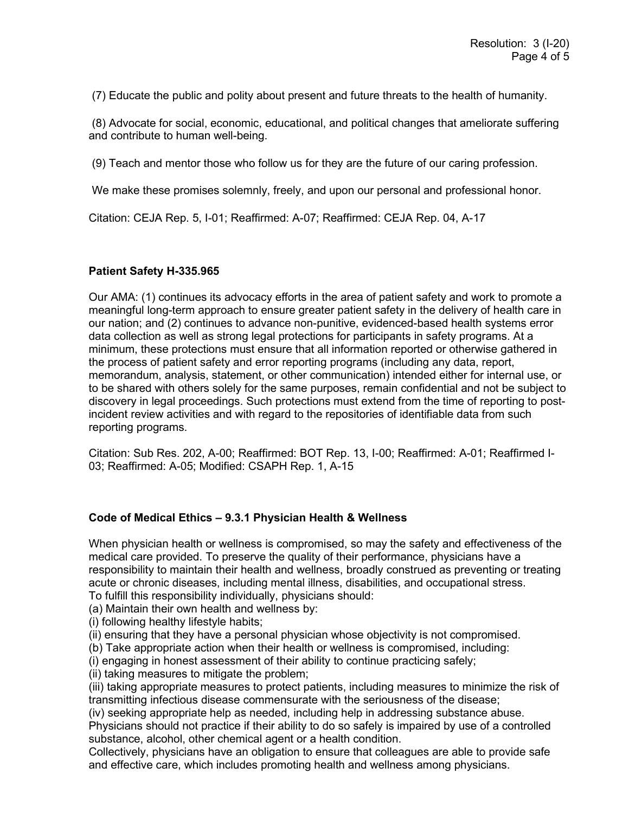(7) Educate the public and polity about present and future threats to the health of humanity.

(8) Advocate for social, economic, educational, and political changes that ameliorate suffering and contribute to human well-being.

(9) Teach and mentor those who follow us for they are the future of our caring profession.

We make these promises solemnly, freely, and upon our personal and professional honor.

Citation: CEJA Rep. 5, I-01; Reaffirmed: A-07; Reaffirmed: CEJA Rep. 04, A-17

### **Patient Safety H-335.965**

Our AMA: (1) continues its advocacy efforts in the area of patient safety and work to promote a meaningful long-term approach to ensure greater patient safety in the delivery of health care in our nation; and (2) continues to advance non-punitive, evidenced-based health systems error data collection as well as strong legal protections for participants in safety programs. At a minimum, these protections must ensure that all information reported or otherwise gathered in the process of patient safety and error reporting programs (including any data, report, memorandum, analysis, statement, or other communication) intended either for internal use, or to be shared with others solely for the same purposes, remain confidential and not be subject to discovery in legal proceedings. Such protections must extend from the time of reporting to postincident review activities and with regard to the repositories of identifiable data from such reporting programs.

Citation: Sub Res. 202, A-00; Reaffirmed: BOT Rep. 13, I-00; Reaffirmed: A-01; Reaffirmed I-03; Reaffirmed: A-05; Modified: CSAPH Rep. 1, A-15

#### **Code of Medical Ethics – 9.3.1 Physician Health & Wellness**

When physician health or wellness is compromised, so may the safety and effectiveness of the medical care provided. To preserve the quality of their performance, physicians have a responsibility to maintain their health and wellness, broadly construed as preventing or treating acute or chronic diseases, including mental illness, disabilities, and occupational stress.

To fulfill this responsibility individually, physicians should:

(a) Maintain their own health and wellness by:

(i) following healthy lifestyle habits;

(ii) ensuring that they have a personal physician whose objectivity is not compromised.

(b) Take appropriate action when their health or wellness is compromised, including:

(i) engaging in honest assessment of their ability to continue practicing safely;

(ii) taking measures to mitigate the problem;

(iii) taking appropriate measures to protect patients, including measures to minimize the risk of transmitting infectious disease commensurate with the seriousness of the disease;

(iv) seeking appropriate help as needed, including help in addressing substance abuse.

Physicians should not practice if their ability to do so safely is impaired by use of a controlled substance, alcohol, other chemical agent or a health condition.

Collectively, physicians have an obligation to ensure that colleagues are able to provide safe and effective care, which includes promoting health and wellness among physicians.